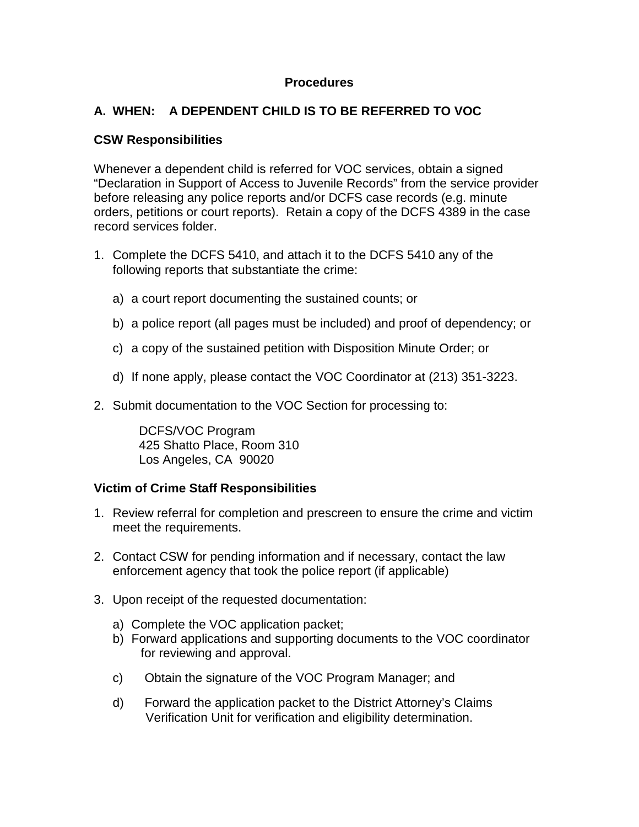#### **Procedures**

# **A. WHEN: A DEPENDENT CHILD IS TO BE REFERRED TO VOC**

### **CSW Responsibilities**

Whenever a dependent child is referred for VOC services, obtain a signed "Declaration in Support of Access to Juvenile Records" from the service provider before releasing any police reports and/or DCFS case records (e.g. minute orders, petitions or court reports). Retain a copy of the DCFS 4389 in the case record services folder.

- 1. Complete the DCFS 5410, and attach it to the DCFS 5410 any of the following reports that substantiate the crime:
	- a) a court report documenting the sustained counts; or
	- b) a police report (all pages must be included) and proof of dependency; or
	- c) a copy of the sustained petition with Disposition Minute Order; or
	- d) If none apply, please contact the VOC Coordinator at (213) 351-3223.
- 2. Submit documentation to the VOC Section for processing to:

DCFS/VOC Program 425 Shatto Place, Room 310 Los Angeles, CA 90020

## **Victim of Crime Staff Responsibilities**

- 1. Review referral for completion and prescreen to ensure the crime and victim meet the requirements.
- 2. Contact CSW for pending information and if necessary, contact the law enforcement agency that took the police report (if applicable)
- 3. Upon receipt of the requested documentation:
	- a) Complete the VOC application packet;
	- b) Forward applications and supporting documents to the VOC coordinator for reviewing and approval.
	- c) Obtain the signature of the VOC Program Manager; and
	- d) Forward the application packet to the District Attorney's Claims Verification Unit for verification and eligibility determination.